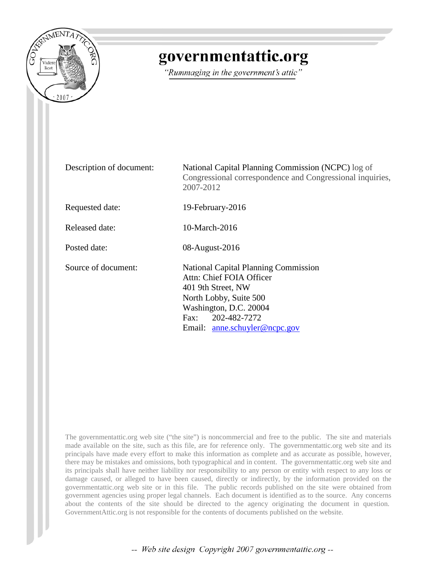

## governmentattic.org

"Rummaging in the government's attic"

| Description of document: | National Capital Planning Commission (NCPC) log of<br>Congressional correspondence and Congressional inquiries,<br>2007-2012                                                                            |  |  |  |  |
|--------------------------|---------------------------------------------------------------------------------------------------------------------------------------------------------------------------------------------------------|--|--|--|--|
| Requested date:          | 19-February-2016                                                                                                                                                                                        |  |  |  |  |
| Released date:           | 10-March-2016                                                                                                                                                                                           |  |  |  |  |
| Posted date:             | 08-August-2016                                                                                                                                                                                          |  |  |  |  |
| Source of document:      | <b>National Capital Planning Commission</b><br>Attn: Chief FOIA Officer<br>401 9th Street, NW<br>North Lobby, Suite 500<br>Washington, D.C. 20004<br>Fax: 202-482-7272<br>Email: anne.schuyler@ncpc.gov |  |  |  |  |

The governmentattic.org web site ("the site") is noncommercial and free to the public. The site and materials made available on the site, such as this file, are for reference only. The governmentattic.org web site and its principals have made every effort to make this information as complete and as accurate as possible, however, there may be mistakes and omissions, both typographical and in content. The governmentattic.org web site and its principals shall have neither liability nor responsibility to any person or entity with respect to any loss or damage caused, or alleged to have been caused, directly or indirectly, by the information provided on the governmentattic.org web site or in this file. The public records published on the site were obtained from government agencies using proper legal channels. Each document is identified as to the source. Any concerns about the contents of the site should be directed to the agency originating the document in question. GovernmentAttic.org is not responsible for the contents of documents published on the website.

-- Web site design Copyright 2007 governmentattic.org --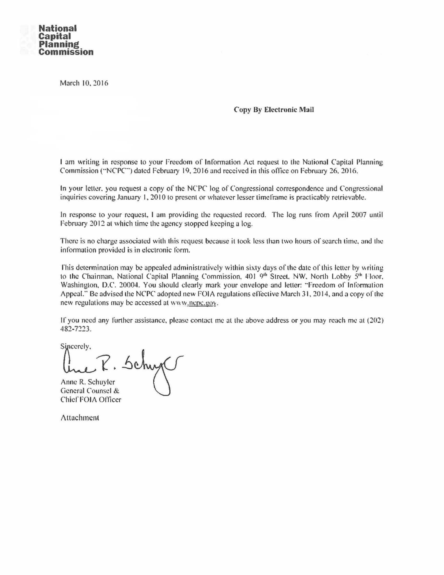

March 10, 2016

## Copy By Electronic Mail

I am writing in response to your Freedom of Information Act request to the National Capital Planning Commission ("NCPC") dated February 19, 2016 and received in this office on February 26, 2016.

In your letter. you request a copy of the NCPC log of Congressional correspondence and Congressional inquiries covering January 1, 2010 to present or whatever lesser timeframe is practicably retrievable.

In response to your request. I am providing the requested record. The log runs from April 2007 until February 2012 at which time the agency stopped keeping a log.

There is no charge associated with this request because it took less than two hours of search time. and the information provided is in electronic form.

This determination may be appealed administratively within sixty days of the date of this letter by writing to the Chairman, National Capital Planning Commission, 401 9th Street. NW, North Lobby 5th Floor. Washington, D.C. 20004. You should clearly mark your envelope and letter: "Freedom of Information Appeal." Be advised the NCPC adopted new FOIA regulations effective March 31, 2014, and a copy of the new regulations may be accessed at www.ncpc.gov.

If you need any further assistance, please contact me at the above address or you may reach me at (202) 482-n23.

Sincerely,

Anne R. Schuyler General Counsel & Chief FOIA Ollicer

Attachment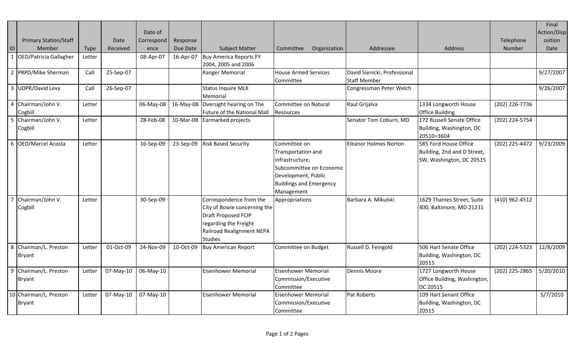| ID             | <b>Primary Station/Staff</b><br>Member<br>OED/Patricia Gallagher | Type<br>Letter | Date<br>Received | Date of<br>Correspond<br>ence<br>08-Apr-07 | Response<br>Due Date<br>16-Apr-07 | <b>Subject Matter</b><br><b>Buy America Reports FY</b>                                                                                                 | Organization<br>Committee                                                                                                                                | Addressee                                           | Address                                                                          | Telephone<br><b>Number</b> | Final<br>Action/Disp<br>osition<br>Date |
|----------------|------------------------------------------------------------------|----------------|------------------|--------------------------------------------|-----------------------------------|--------------------------------------------------------------------------------------------------------------------------------------------------------|----------------------------------------------------------------------------------------------------------------------------------------------------------|-----------------------------------------------------|----------------------------------------------------------------------------------|----------------------------|-----------------------------------------|
|                | 2 PRPD/Mike Sherman                                              | Call           | 25-Sep-07        |                                            |                                   | 2004, 2005 and 2006<br>Ranger Memorial                                                                                                                 | <b>House Armed Services</b><br>Committee                                                                                                                 | David Sienicki, Professional<br><b>Staff Member</b> |                                                                                  |                            | 9/27/2007                               |
|                | 3 UDPR/David Levy                                                | Call           | 26-Sep-07        |                                            |                                   | <b>Status Inquire MLK</b><br>Memorial                                                                                                                  |                                                                                                                                                          | Congressman Peter Welch                             |                                                                                  |                            | 9/26/2007                               |
| $\overline{4}$ | Chairman/John V.<br>Cogbill                                      | Letter         |                  | 06-May-08                                  |                                   | 16-May-08 Oversight hearing on The<br>Future of the National Mall                                                                                      | Committee on Natural<br>Resources                                                                                                                        | Raul Grijalva                                       | 1334 Longworth House<br><b>Office Building</b>                                   | (202) 226-7736             |                                         |
| 5              | Chairman/John V.<br>Cogbill                                      | Letter         |                  | 28-Feb-08                                  |                                   | 10-Mar-08 Earmarked projects                                                                                                                           |                                                                                                                                                          | Senator Tom Coburn, MD                              | 172 Russell Senate Office<br>Building, Washington, DC<br>20510=3604              | (202) 224-5754             |                                         |
|                | 6 OED/Marcel Acosta                                              | Letter         |                  | 16-Sep-09                                  |                                   | 23-Sep-09 Risk Based Security                                                                                                                          | Committee on<br>Transportation and<br>infrastructure,<br>Subcommittee on Economic<br>Development, Public<br><b>Buildings and Emergency</b><br>Management | <b>Eleanor Holmes Norton</b>                        | 585 Ford House Office<br>Building, 2nd and D Street,<br>SW, Washington, DC 20515 | (202) 225-4472             | 9/23/2009                               |
|                | Chairman/John V.<br>Cogbill                                      | Letter         |                  | 30-Sep-09                                  |                                   | Correspondence from the<br>City of Bowie concerning the<br>Draft Proposed FCIP<br>regarding the Freight<br>Railroad Realignment NEPA<br><b>Studies</b> | Appropriations                                                                                                                                           | Barbara A. Mikulski                                 | 1629 Thames Street, Suite<br>400, Baltimore, MD 21231                            | (410) 962-4512             |                                         |
| 8              | Chairman/L. Preston<br><b>Bryant</b>                             | Letter         | 01-Oct-09        | 24-Nov-09                                  | 10-Oct-09                         | <b>Buy American Report</b>                                                                                                                             | Committee on Budget                                                                                                                                      | Russell D. Feingold                                 | 506 Hart Senate Office<br>Building, Washington, DC<br>20515                      | (202) 224-5323             | 12/8/2009                               |
| 9              | Chairman/L. Preston<br><b>Bryant</b>                             | Letter         | 07-May-10        | 06-May-10                                  |                                   | <b>Eisenhower Memorial</b>                                                                                                                             | Eisenhower Memorial<br>Commission/Executive<br>Committee                                                                                                 | <b>Dennis Moore</b>                                 | 1727 Longworth House<br>Office Building, Washington,<br>DC 20515                 | (202) 225-2865             | 5/20/2010                               |
|                | 10 Chairman/L. Preston<br><b>Bryant</b>                          | Letter         | 07-May-10        | 07-May-10                                  |                                   | <b>Eisenhower Memorial</b>                                                                                                                             | Eisenhower Memorial<br>Commission/Executive<br>Committee                                                                                                 | Pat Roberts                                         | 109 Hart Senant Office<br>Building, Washington, DC<br>20515                      |                            | 5/7/2010                                |